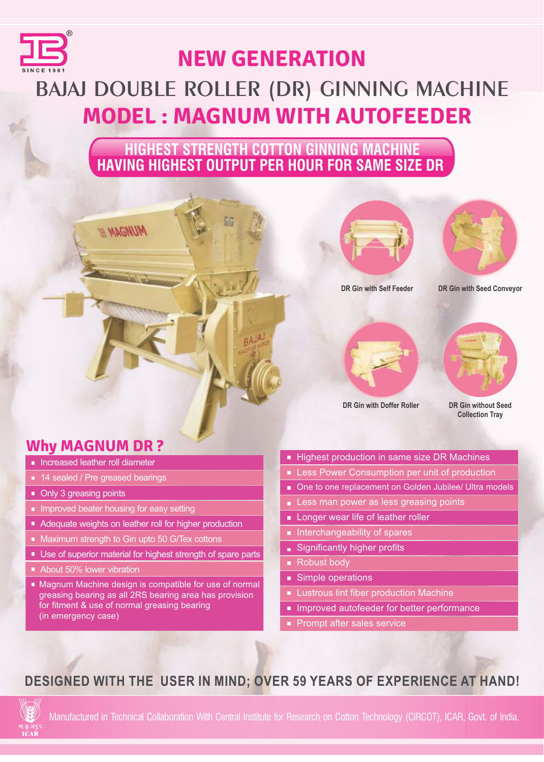

# **BAJAJ DOUBLE ROLLER (DR) GINNING MACHINE MODEL : MAGNUM WITH AUTOFEEDER NEW GENERATION**

 **HIGHEST STRENGTH COTTON GINNING MACHINE HAVING HIGHEST OUTPUT PER HOUR FOR SAME SIZE DR**





**DR Gin with Self Feeder**

**DR Gin with Seed Conveyor**





**DR Gin with Doffer Roller**

**DR Gin without Seed Collection Tray** 

# **Why MAGNUM DR ?**

- **Increased leather roll diameter**
- 14 sealed / Pre greased bearings
- Only 3 greasing points
- **Improved beater housing for easy setting**
- Adequate weights on leather roll for higher production
- Maximum strength to Gin upto 50 G/Tex cottons

**MUHAM E** 

- Use of superior material for highest strength of spare parts
- About 50% lower vibration
- Magnum Machine design is compatible for use of normal greasing bearing as all 2RS bearing area has provision for fitment & use of normal greasing bearing (in emergency case)
- Highest production in same size DR Machines
- **Less Power Consumption per unit of production**
- One to one replacement on Golden Jubilee/ Ultra models
- Less man power as less greasing points
- **Longer wear life of leather roller**
- Interchangeability of spares
- Significantly higher profits
- Robust body
- Simple operations
- **Lustrous lint fiber production Machine**
- **Improved autofeeder for better performance**
- Prompt after sales service

## **DESIGNED WITH THE USER IN MIND; OVER 59 YEARS OF EXPERIENCE AT HAND!**



Manufactured in Technical Collaboration With Central Institute for Research on Cotton Technology (CIRCOT), ICAR, Govt. of India.